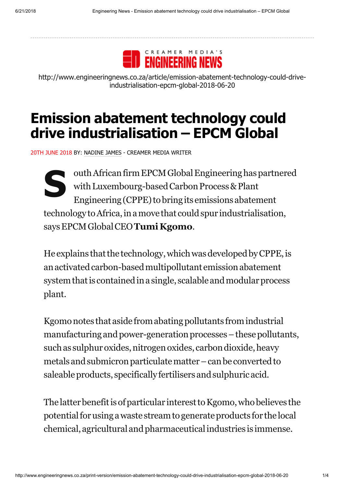

http://www.engineeringnews.co.za/article/emission-abatement-technology-could-driveindustrialisation-epcm-global-2018-06-20

## **Emission abatement technology could drive industrialisation – EPCM Global**

20TH JUNE 2018 BY: NADINE JAMES - CREAMER MEDIA WRITER

**S** outh African firm EPCM Global Engineering has partnered with Luxembourg-based Carbon Process & Plant Engineering (CPPE) to bring its emissions abatement technology to Africa, in a move that could spur industrialisation, saysEPCMGlobalCEO**Tumi Kgomo**.

He explains that the technology, which was developed by CPPE, is an activated carbon-based multipollutant emission abatement system that is contained in a single, scalable and modular process plant.

Kgomo notes that aside from abating pollutants from industrial manufacturing and power-generation processes – these pollutants, such as sulphur oxides, nitrogen oxides, carbon dioxide, heavy metals and submicron particulate matter – can be converted to saleable products, specifically fertilisers and sulphuric acid.

The latter benefit is of particular interest to Kgomo, who believes the potentialforusingawaste streamtogenerateproducts for the local chemical, agricultural andpharmaceuticalindustries is immense.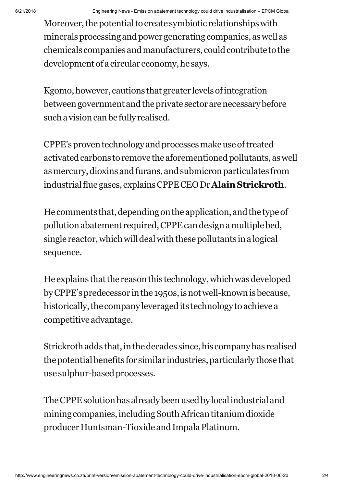Moreover, the potential to create symbiotic relationships with minerals processing and power generating companies, as well as chemicals companies and manufacturers, could contribute to the development of a circular economy, he says.

Kgomo, however, cautions that greater levels of integration between government and the private sector are necessary before such a vision can be fully realised.

CPPE'sproventechnology andprocessesmakeuseoftreated activated carbons to remove the aforementioned pollutants, as well asmercury,dioxins andfurans, andsubmicronparticulates from industrialfluegases, explainsCPPECEODr**AlainStrickroth**.

He comments that, depending on the application, and the type of pollutionabatement required,CPPEcandesignamultiplebed, single reactor, which will deal with these pollutants in a logical sequence.

He explains that the reason this technology, which was developed by CPPE's predecessor in the 1950s, is not well-known is because, historically, the company leveraged its technology to achieve a competitive advantage.

Strickroth adds that, in the decades since, his company has realised the potential benefits for similar industries, particularly those that use sulphur-based processes.

The CPPE solution has already been used by local industrial and mining companies, including South African titanium dioxide producer Huntsman-Tioxide and Impala Platinum.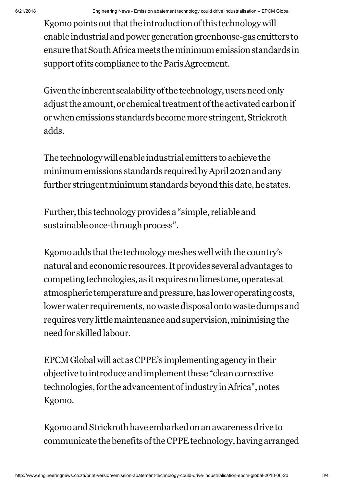Kgomo points out that the introduction of this technology will enable industrial and power generation greenhouse-gas emitters to ensure that South Africa meets the minimum emission standards in support of its compliance to the Paris Agreement.

Given the inherent scalability of the technology, users need only adjust the amount, or chemical treatment of the activated carbon if or when emissions standards become more stringent, Strickroth adds.

The technologywill enable industrial emitters toachieve the minimum emissions standards required by April 2020 and any further stringent minimum standards beyond this date, he states.

Further, this technology provides a "simple, reliable and sustainable once-through process".

Kgomo adds that the technology meshes well with the country's natural andeconomic resources.Itprovides several advantages to competing technologies, as it requires no limestone, operates at atmospheric temperature and pressure, has lower operating costs, lower water requirements, no waste disposal onto waste dumps and requires very little maintenance and supervision, minimising the needfor skilledlabour.

EPCMGlobalwill act asCPPE's implementingagency intheir objective to introduce and implement these "clean corrective technologies, for the advancement of industry in Africa", notes Kgomo.

Kgomo and Strickroth have embarked on an awareness drive to communicate the benefits of the CPPE technology, having arranged